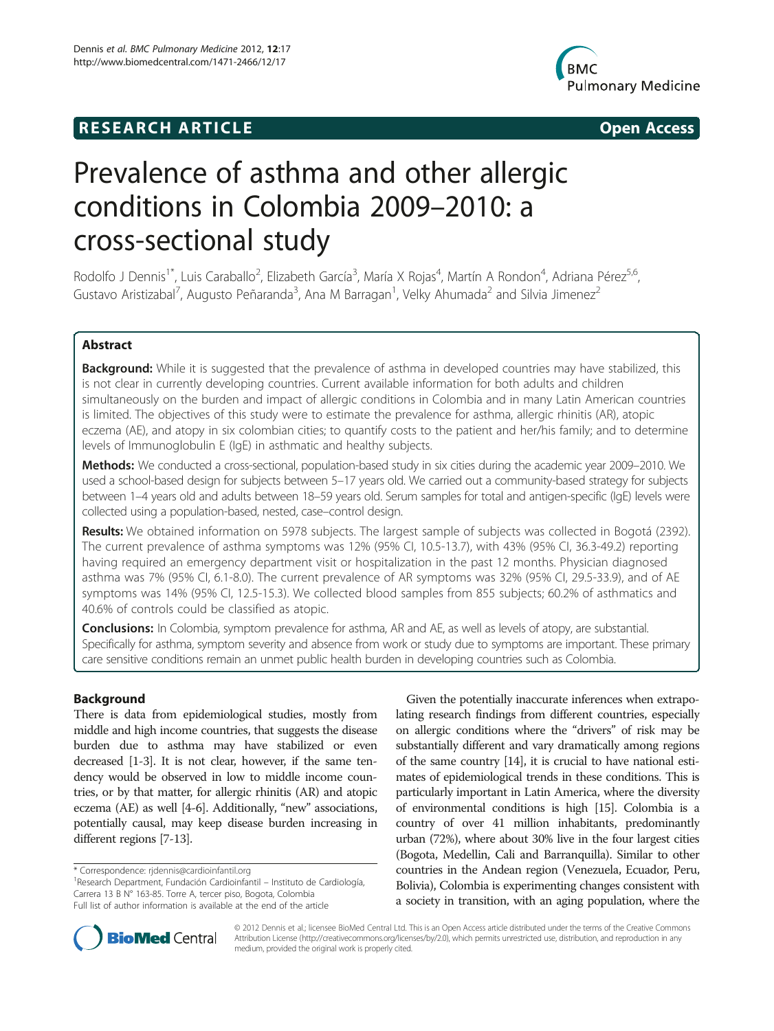# **RESEARCH ARTICLE Example 2014 The SEARCH ARTICLE**



# Prevalence of asthma and other allergic conditions in Colombia 2009–2010: a cross-sectional study

Rodolfo J Dennis<sup>1\*</sup>, Luis Caraballo<sup>2</sup>, Elizabeth García<sup>3</sup>, María X Rojas<sup>4</sup>, Martín A Rondon<sup>4</sup>, Adriana Pérez<sup>5,6</sup>, Gustavo Aristizabal<sup>7</sup>, Augusto Peñaranda<sup>3</sup>, Ana M Barragan<sup>1</sup>, Velky Ahumada<sup>2</sup> and Silvia Jimenez<sup>2</sup>

# Abstract

Background: While it is suggested that the prevalence of asthma in developed countries may have stabilized, this is not clear in currently developing countries. Current available information for both adults and children simultaneously on the burden and impact of allergic conditions in Colombia and in many Latin American countries is limited. The objectives of this study were to estimate the prevalence for asthma, allergic rhinitis (AR), atopic eczema (AE), and atopy in six colombian cities; to quantify costs to the patient and her/his family; and to determine levels of Immunoglobulin E (IgE) in asthmatic and healthy subjects.

Methods: We conducted a cross-sectional, population-based study in six cities during the academic year 2009–2010. We used a school-based design for subjects between 5–17 years old. We carried out a community-based strategy for subjects between 1–4 years old and adults between 18–59 years old. Serum samples for total and antigen-specific (IgE) levels were collected using a population-based, nested, case–control design.

Results: We obtained information on 5978 subjects. The largest sample of subjects was collected in Bogotá (2392). The current prevalence of asthma symptoms was 12% (95% CI, 10.5-13.7), with 43% (95% CI, 36.3-49.2) reporting having required an emergency department visit or hospitalization in the past 12 months. Physician diagnosed asthma was 7% (95% CI, 6.1-8.0). The current prevalence of AR symptoms was 32% (95% CI, 29.5-33.9), and of AE symptoms was 14% (95% CI, 12.5-15.3). We collected blood samples from 855 subjects; 60.2% of asthmatics and 40.6% of controls could be classified as atopic.

**Conclusions:** In Colombia, symptom prevalence for asthma, AR and AE, as well as levels of atopy, are substantial. Specifically for asthma, symptom severity and absence from work or study due to symptoms are important. These primary care sensitive conditions remain an unmet public health burden in developing countries such as Colombia.

# Background

There is data from epidemiological studies, mostly from middle and high income countries, that suggests the disease burden due to asthma may have stabilized or even decreased [\[1-3\]](#page-7-0). It is not clear, however, if the same tendency would be observed in low to middle income countries, or by that matter, for allergic rhinitis (AR) and atopic eczema (AE) as well [[4](#page-7-0)-[6](#page-7-0)]. Additionally, "new" associations, potentially causal, may keep disease burden increasing in different regions [[7](#page-7-0)-[13](#page-7-0)].

Given the potentially inaccurate inferences when extrapolating research findings from different countries, especially on allergic conditions where the "drivers" of risk may be substantially different and vary dramatically among regions of the same country [[14](#page-7-0)], it is crucial to have national estimates of epidemiological trends in these conditions. This is particularly important in Latin America, where the diversity of environmental conditions is high [[15](#page-7-0)]. Colombia is a country of over 41 million inhabitants, predominantly urban (72%), where about 30% live in the four largest cities (Bogota, Medellin, Cali and Barranquilla). Similar to other countries in the Andean region (Venezuela, Ecuador, Peru, Bolivia), Colombia is experimenting changes consistent with a society in transition, with an aging population, where the



© 2012 Dennis et al.; licensee BioMed Central Ltd. This is an Open Access article distributed under the terms of the Creative Commons Attribution License (http://creativecommons.org/licenses/by/2.0), which permits unrestricted use, distribution, and reproduction in any medium, provided the original work is properly cited.

<sup>\*</sup> Correspondence: [rjdennis@cardioinfantil.org](mailto:rjdennis@cardioinfantil.org) <sup>1</sup>

Research Department, Fundación Cardioinfantil – Instituto de Cardiología, Carrera 13 B N° 163-85. Torre A, tercer piso, Bogota, Colombia Full list of author information is available at the end of the article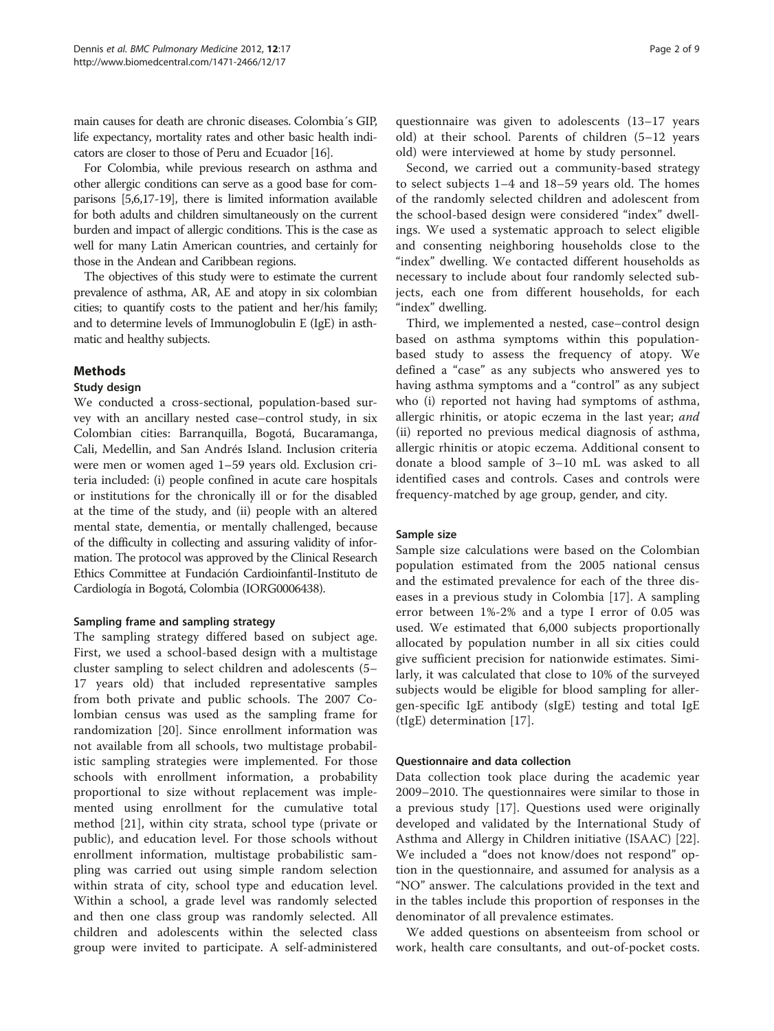main causes for death are chronic diseases. Colombia´s GIP, life expectancy, mortality rates and other basic health indicators are closer to those of Peru and Ecuador [\[16](#page-7-0)].

For Colombia, while previous research on asthma and other allergic conditions can serve as a good base for comparisons [\[5,6,17-19\]](#page-7-0), there is limited information available for both adults and children simultaneously on the current burden and impact of allergic conditions. This is the case as well for many Latin American countries, and certainly for those in the Andean and Caribbean regions.

The objectives of this study were to estimate the current prevalence of asthma, AR, AE and atopy in six colombian cities; to quantify costs to the patient and her/his family; and to determine levels of Immunoglobulin E (IgE) in asthmatic and healthy subjects.

## Methods

#### Study design

We conducted a cross-sectional, population-based survey with an ancillary nested case–control study, in six Colombian cities: Barranquilla, Bogotá, Bucaramanga, Cali, Medellin, and San Andrés Island. Inclusion criteria were men or women aged 1–59 years old. Exclusion criteria included: (i) people confined in acute care hospitals or institutions for the chronically ill or for the disabled at the time of the study, and (ii) people with an altered mental state, dementia, or mentally challenged, because of the difficulty in collecting and assuring validity of information. The protocol was approved by the Clinical Research Ethics Committee at Fundación Cardioinfantil-Instituto de Cardiología in Bogotá, Colombia (IORG0006438).

#### Sampling frame and sampling strategy

The sampling strategy differed based on subject age. First, we used a school-based design with a multistage cluster sampling to select children and adolescents (5– 17 years old) that included representative samples from both private and public schools. The 2007 Colombian census was used as the sampling frame for randomization [[20\]](#page-7-0). Since enrollment information was not available from all schools, two multistage probabilistic sampling strategies were implemented. For those schools with enrollment information, a probability proportional to size without replacement was implemented using enrollment for the cumulative total method [[21\]](#page-7-0), within city strata, school type (private or public), and education level. For those schools without enrollment information, multistage probabilistic sampling was carried out using simple random selection within strata of city, school type and education level. Within a school, a grade level was randomly selected and then one class group was randomly selected. All children and adolescents within the selected class group were invited to participate. A self-administered

questionnaire was given to adolescents (13–17 years old) at their school. Parents of children (5–12 years old) were interviewed at home by study personnel.

Second, we carried out a community-based strategy to select subjects 1–4 and 18–59 years old. The homes of the randomly selected children and adolescent from the school-based design were considered "index" dwellings. We used a systematic approach to select eligible and consenting neighboring households close to the "index" dwelling. We contacted different households as necessary to include about four randomly selected subjects, each one from different households, for each "index" dwelling.

Third, we implemented a nested, case–control design based on asthma symptoms within this populationbased study to assess the frequency of atopy. We defined a "case" as any subjects who answered yes to having asthma symptoms and a "control" as any subject who (i) reported not having had symptoms of asthma, allergic rhinitis, or atopic eczema in the last year; and (ii) reported no previous medical diagnosis of asthma, allergic rhinitis or atopic eczema. Additional consent to donate a blood sample of 3–10 mL was asked to all identified cases and controls. Cases and controls were frequency-matched by age group, gender, and city.

## Sample size

Sample size calculations were based on the Colombian population estimated from the 2005 national census and the estimated prevalence for each of the three diseases in a previous study in Colombia [[17\]](#page-7-0). A sampling error between 1%-2% and a type I error of 0.05 was used. We estimated that 6,000 subjects proportionally allocated by population number in all six cities could give sufficient precision for nationwide estimates. Similarly, it was calculated that close to 10% of the surveyed subjects would be eligible for blood sampling for allergen-specific IgE antibody (sIgE) testing and total IgE (tIgE) determination [[17\]](#page-7-0).

#### Questionnaire and data collection

Data collection took place during the academic year 2009–2010. The questionnaires were similar to those in a previous study [[17\]](#page-7-0). Questions used were originally developed and validated by the International Study of Asthma and Allergy in Children initiative (ISAAC) [\[22](#page-7-0)]. We included a "does not know/does not respond" option in the questionnaire, and assumed for analysis as a "NO" answer. The calculations provided in the text and in the tables include this proportion of responses in the denominator of all prevalence estimates.

We added questions on absenteeism from school or work, health care consultants, and out-of-pocket costs.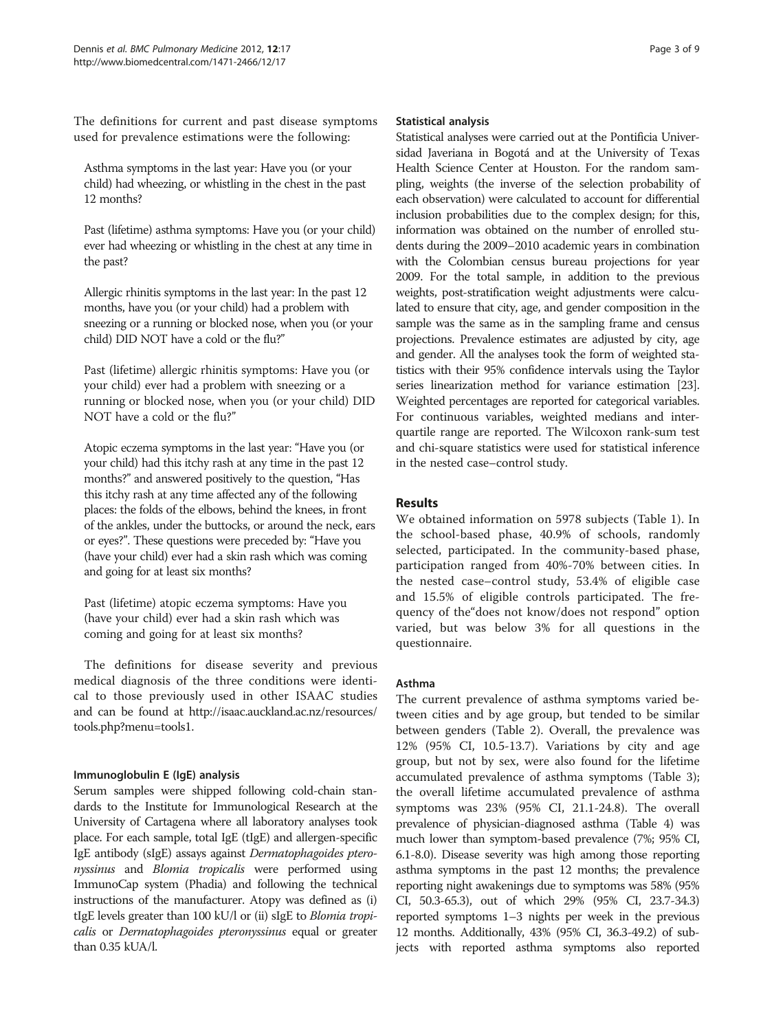The definitions for current and past disease symptoms used for prevalence estimations were the following:

Asthma symptoms in the last year: Have you (or your child) had wheezing, or whistling in the chest in the past 12 months?

Past (lifetime) asthma symptoms: Have you (or your child) ever had wheezing or whistling in the chest at any time in the past?

Allergic rhinitis symptoms in the last year: In the past 12 months, have you (or your child) had a problem with sneezing or a running or blocked nose, when you (or your child) DID NOT have a cold or the flu?"

Past (lifetime) allergic rhinitis symptoms: Have you (or your child) ever had a problem with sneezing or a running or blocked nose, when you (or your child) DID NOT have a cold or the flu?"

Atopic eczema symptoms in the last year: "Have you (or your child) had this itchy rash at any time in the past 12 months?" and answered positively to the question, "Has this itchy rash at any time affected any of the following places: the folds of the elbows, behind the knees, in front of the ankles, under the buttocks, or around the neck, ears or eyes?". These questions were preceded by: "Have you (have your child) ever had a skin rash which was coming and going for at least six months?

Past (lifetime) atopic eczema symptoms: Have you (have your child) ever had a skin rash which was coming and going for at least six months?

The definitions for disease severity and previous medical diagnosis of the three conditions were identical to those previously used in other ISAAC studies and can be found at [http://isaac.auckland.ac.nz/resources/](http://isaac.auckland.ac.nz/resources/tools.php?menu=tools1) [tools.php?menu=tools1](http://isaac.auckland.ac.nz/resources/tools.php?menu=tools1).

## Immunoglobulin E (IgE) analysis

Serum samples were shipped following cold-chain standards to the Institute for Immunological Research at the University of Cartagena where all laboratory analyses took place. For each sample, total IgE (tIgE) and allergen-specific IgE antibody (sIgE) assays against Dermatophagoides pteronyssinus and Blomia tropicalis were performed using ImmunoCap system (Phadia) and following the technical instructions of the manufacturer. Atopy was defined as (i) tIgE levels greater than 100 kU/l or (ii) sIgE to Blomia tropicalis or Dermatophagoides pteronyssinus equal or greater than 0.35 kUA/l.

#### Statistical analysis

Statistical analyses were carried out at the Pontificia Universidad Javeriana in Bogotá and at the University of Texas Health Science Center at Houston. For the random sampling, weights (the inverse of the selection probability of each observation) were calculated to account for differential inclusion probabilities due to the complex design; for this, information was obtained on the number of enrolled students during the 2009–2010 academic years in combination with the Colombian census bureau projections for year 2009. For the total sample, in addition to the previous weights, post-stratification weight adjustments were calculated to ensure that city, age, and gender composition in the sample was the same as in the sampling frame and census projections. Prevalence estimates are adjusted by city, age and gender. All the analyses took the form of weighted statistics with their 95% confidence intervals using the Taylor series linearization method for variance estimation [\[23](#page-7-0)]. Weighted percentages are reported for categorical variables. For continuous variables, weighted medians and interquartile range are reported. The Wilcoxon rank-sum test and chi-square statistics were used for statistical inference in the nested case–control study.

# Results

We obtained information on 5978 subjects (Table [1](#page-3-0)). In the school-based phase, 40.9% of schools, randomly selected, participated. In the community-based phase, participation ranged from 40%-70% between cities. In the nested case–control study, 53.4% of eligible case and 15.5% of eligible controls participated. The frequency of the"does not know/does not respond" option varied, but was below 3% for all questions in the questionnaire.

## Asthma

The current prevalence of asthma symptoms varied between cities and by age group, but tended to be similar between genders (Table [2\)](#page-3-0). Overall, the prevalence was 12% (95% CI, 10.5-13.7). Variations by city and age group, but not by sex, were also found for the lifetime accumulated prevalence of asthma symptoms (Table [3](#page-3-0)); the overall lifetime accumulated prevalence of asthma symptoms was 23% (95% CI, 21.1-24.8). The overall prevalence of physician-diagnosed asthma (Table [4\)](#page-3-0) was much lower than symptom-based prevalence (7%; 95% CI, 6.1-8.0). Disease severity was high among those reporting asthma symptoms in the past 12 months; the prevalence reporting night awakenings due to symptoms was 58% (95% CI, 50.3-65.3), out of which 29% (95% CI, 23.7-34.3) reported symptoms 1–3 nights per week in the previous 12 months. Additionally, 43% (95% CI, 36.3-49.2) of subjects with reported asthma symptoms also reported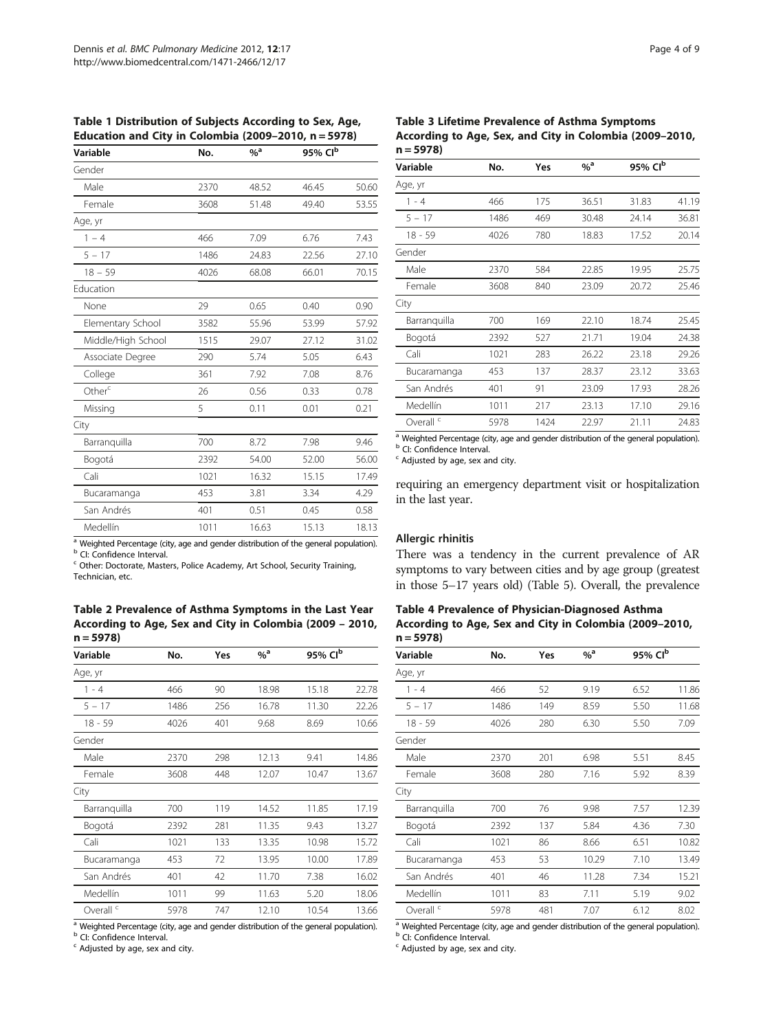<span id="page-3-0"></span>Table 1 Distribution of Subjects According to Sex, Age, Education and City in Colombia (2009–2010, n = 5978)

| Variable           | No.  | $\%$ <sup>a</sup> | 95% Clb |       |
|--------------------|------|-------------------|---------|-------|
| Gender             |      |                   |         |       |
| Male               | 2370 | 48.52             | 46.45   | 50.60 |
| Female             | 3608 | 51.48             | 49.40   | 53.55 |
| Age, yr            |      |                   |         |       |
| $1 - 4$            | 466  | 7.09              | 6.76    | 7.43  |
| $5 - 17$           | 1486 | 24.83             | 22.56   | 27.10 |
| $18 - 59$          | 4026 | 68.08             | 66.01   | 70.15 |
| Education          |      |                   |         |       |
| None               | 29   | 0.65              | 0.40    | 0.90  |
| Elementary School  | 3582 | 55.96             | 53.99   | 57.92 |
| Middle/High School | 1515 | 29.07             | 27.12   | 31.02 |
| Associate Degree   | 290  | 5.74              | 5.05    | 6.43  |
| College            | 361  | 7.92              | 7.08    | 8.76  |
| Other <sup>c</sup> | 26   | 0.56              | 0.33    | 0.78  |
| Missing            | 5    | 0.11              | 0.01    | 0.21  |
| City               |      |                   |         |       |
| Barranquilla       | 700  | 8.72              | 7.98    | 9.46  |
| Bogotá             | 2392 | 54.00             | 52.00   | 56.00 |
| Cali               | 1021 | 16.32             | 15.15   | 17.49 |
| Bucaramanga        | 453  | 3.81              | 3.34    | 4.29  |
| San Andrés         | 401  | 0.51              | 0.45    | 0.58  |
| Medellín           | 1011 | 16.63             | 15.13   | 18.13 |

 $\frac{a}{b}$  Weighted Percentage (city, age and gender distribution of the general population).  $\frac{b}{c}$  CI: Confidence Interval.

<sup>c</sup> Other: Doctorate, Masters, Police Academy, Art School, Security Training, Technician, etc.

Table 2 Prevalence of Asthma Symptoms in the Last Year According to Age, Sex and City in Colombia (2009 – 2010,  $n = 5978$ 

| Variable             | No.  | Yes | $%$ <sup>a</sup> | 95% Clb |       |
|----------------------|------|-----|------------------|---------|-------|
| Age, yr              |      |     |                  |         |       |
| 1 - 4                | 466  | 90  | 18.98            | 15.18   | 22.78 |
| $5 - 17$             | 1486 | 256 | 16.78            | 11.30   | 22.26 |
| 18 - 59              | 4026 | 401 | 9.68             | 8.69    | 10.66 |
| Gender               |      |     |                  |         |       |
| Male                 | 2370 | 298 | 12.13            | 9.41    | 14.86 |
| Female               | 3608 | 448 | 12.07            | 10.47   | 13.67 |
| City                 |      |     |                  |         |       |
| Barranguilla         | 700  | 119 | 14.52            | 11.85   | 17.19 |
| Bogotá               | 2392 | 281 | 11.35            | 9.43    | 13.27 |
| Cali                 | 1021 | 133 | 13.35            | 10.98   | 15.72 |
| Bucaramanga          | 453  | 72  | 13.95            | 10.00   | 17.89 |
| San Andrés           | 401  | 42  | 11.70            | 7.38    | 16.02 |
| Medellín             | 1011 | 99  | 11.63            | 5.20    | 18.06 |
| Overall <sup>c</sup> | 5978 | 747 | 12.10            | 10.54   | 13.66 |

<sup>a</sup> Weighted Percentage (city, age and gender distribution of the general population). **b** CI: Confidence Interval.

 $c$  Adjusted by age, sex and city.

Table 3 Lifetime Prevalence of Asthma Symptoms According to Age, Sex, and City in Colombia (2009–2010,  $n = 5978$ 

| Variable             | No.  | Yes  | $\%$ <sup>a</sup> | 95% Clb |       |
|----------------------|------|------|-------------------|---------|-------|
| Age, yr              |      |      |                   |         |       |
| $1 - 4$              | 466  | 175  | 36.51             | 31.83   | 41.19 |
| $5 - 17$             | 1486 | 469  | 30.48             | 24.14   | 36.81 |
| $18 - 59$            | 4026 | 780  | 18.83             | 17.52   | 20.14 |
| Gender               |      |      |                   |         |       |
| Male                 | 2370 | 584  | 22.85             | 19.95   | 25.75 |
| Female               | 3608 | 840  | 23.09             | 20.72   | 25.46 |
| City                 |      |      |                   |         |       |
| Barranguilla         | 700  | 169  | 22.10             | 18.74   | 25.45 |
| Bogotá               | 2392 | 527  | 21.71             | 19.04   | 24.38 |
| Cali                 | 1021 | 283  | 26.22             | 23.18   | 29.26 |
| Bucaramanga          | 453  | 137  | 28.37             | 23.12   | 33.63 |
| San Andrés           | 401  | 91   | 23.09             | 17.93   | 28.26 |
| Medellín             | 1011 | 217  | 23.13             | 17.10   | 29.16 |
| Overall <sup>c</sup> | 5978 | 1424 | 22.97             | 21.11   | 24.83 |
|                      |      |      |                   |         |       |

<sup>a</sup> Weighted Percentage (city, age and gender distribution of the general population). **b** CI: Confidence Interval.

<sup>c</sup> Adjusted by age, sex and city.

requiring an emergency department visit or hospitalization in the last year.

#### Allergic rhinitis

There was a tendency in the current prevalence of AR symptoms to vary between cities and by age group (greatest in those 5–17 years old) (Table [5\)](#page-4-0). Overall, the prevalence

Table 4 Prevalence of Physician-Diagnosed Asthma According to Age, Sex and City in Colombia (2009–2010,  $n = 5978$ 

| Variable             | No.  | Yes | $\%$ <sup>a</sup> | 95% Clb |       |
|----------------------|------|-----|-------------------|---------|-------|
| Age, yr              |      |     |                   |         |       |
| $1 - 4$              | 466  | 52  | 9.19              | 6.52    | 11.86 |
| $5 - 17$             | 1486 | 149 | 8.59              | 5.50    | 11.68 |
| 18 - 59              | 4026 | 280 | 6.30              | 5.50    | 7.09  |
| Gender               |      |     |                   |         |       |
| Male                 | 2370 | 201 | 6.98              | 5.51    | 8.45  |
| Female               | 3608 | 280 | 7.16              | 5.92    | 8.39  |
| City                 |      |     |                   |         |       |
| Barranguilla         | 700  | 76  | 9.98              | 7.57    | 12.39 |
| Bogotá               | 2392 | 137 | 5.84              | 4.36    | 7.30  |
| Cali                 | 1021 | 86  | 8.66              | 6.51    | 10.82 |
| Bucaramanga          | 453  | 53  | 10.29             | 7.10    | 13.49 |
| San Andrés           | 401  | 46  | 11.28             | 7.34    | 15.21 |
| Medellín             | 1011 | 83  | 7.11              | 5.19    | 9.02  |
| Overall <sup>c</sup> | 5978 | 481 | 7.07              | 6.12    | 8.02  |

<sup>a</sup> Weighted Percentage (city, age and gender distribution of the general population). **b** CI: Confidence Interval.

 $c$  Adjusted by age, sex and city.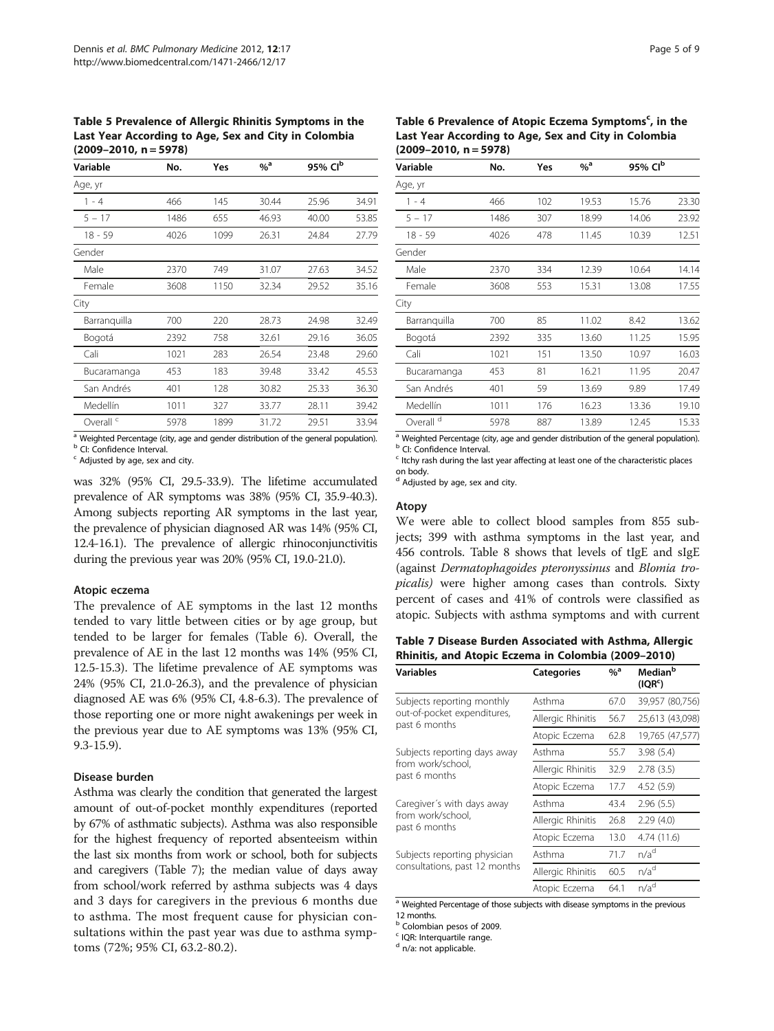<span id="page-4-0"></span>Table 5 Prevalence of Allergic Rhinitis Symptoms in the Last Year According to Age, Sex and City in Colombia  $(2009 - 2010, n = 5978)$ 

| Variable             | No.  | Yes  | $%$ <sup>a</sup> | 95% Clb |       |
|----------------------|------|------|------------------|---------|-------|
| Age, yr              |      |      |                  |         |       |
| $1 - 4$              | 466  | 145  | 30.44            | 25.96   | 34.91 |
| $5 - 17$             | 1486 | 655  | 46.93            | 40.00   | 53.85 |
| $18 - 59$            | 4026 | 1099 | 26.31            | 24.84   | 27.79 |
| Gender               |      |      |                  |         |       |
| Male                 | 2370 | 749  | 31.07            | 27.63   | 34.52 |
| Female               | 3608 | 1150 | 32.34            | 29.52   | 35.16 |
| City                 |      |      |                  |         |       |
| Barranquilla         | 700  | 220  | 28.73            | 24.98   | 32.49 |
| Bogotá               | 2392 | 758  | 32.61            | 29.16   | 36.05 |
| Cali                 | 1021 | 283  | 26.54            | 23.48   | 29.60 |
| Bucaramanga          | 453  | 183  | 39.48            | 33.42   | 45.53 |
| San Andrés           | 401  | 128  | 30.82            | 25.33   | 36.30 |
| Medellín             | 1011 | 327  | 33.77            | 28.11   | 39.42 |
| Overall <sup>c</sup> | 5978 | 1899 | 31.72            | 29.51   | 33.94 |
|                      |      |      |                  |         |       |

<sup>a</sup> Weighted Percentage (city, age and gender distribution of the general population). **b** CI: Confidence Interval.

 $c$  Adjusted by age, sex and city.

was 32% (95% CI, 29.5-33.9). The lifetime accumulated prevalence of AR symptoms was 38% (95% CI, 35.9-40.3). Among subjects reporting AR symptoms in the last year, the prevalence of physician diagnosed AR was 14% (95% CI, 12.4-16.1). The prevalence of allergic rhinoconjunctivitis during the previous year was 20% (95% CI, 19.0-21.0).

#### Atopic eczema

The prevalence of AE symptoms in the last 12 months tended to vary little between cities or by age group, but tended to be larger for females (Table 6). Overall, the prevalence of AE in the last 12 months was 14% (95% CI, 12.5-15.3). The lifetime prevalence of AE symptoms was 24% (95% CI, 21.0-26.3), and the prevalence of physician diagnosed AE was 6% (95% CI, 4.8-6.3). The prevalence of those reporting one or more night awakenings per week in the previous year due to AE symptoms was 13% (95% CI, 9.3-15.9).

# Disease burden

Asthma was clearly the condition that generated the largest amount of out-of-pocket monthly expenditures (reported by 67% of asthmatic subjects). Asthma was also responsible for the highest frequency of reported absenteeism within the last six months from work or school, both for subjects and caregivers (Table 7); the median value of days away from school/work referred by asthma subjects was 4 days and 3 days for caregivers in the previous 6 months due to asthma. The most frequent cause for physician consultations within the past year was due to asthma symptoms (72%; 95% CI, 63.2-80.2).

Table 6 Prevalence of Atopic Eczema Symptoms<sup>c</sup>, in the Last Year According to Age, Sex and City in Colombia  $(2009 - 2010, n = 5978)$ 

| Variable                                                                                                                | No.  | Yes | $%$ <sup>a</sup> | 95% Clb |       |
|-------------------------------------------------------------------------------------------------------------------------|------|-----|------------------|---------|-------|
| Age, yr                                                                                                                 |      |     |                  |         |       |
| $1 - 4$                                                                                                                 | 466  | 102 | 19.53            | 15.76   | 23.30 |
| $5 - 17$                                                                                                                | 1486 | 307 | 18.99            | 14.06   | 23.92 |
| 18 - 59                                                                                                                 | 4026 | 478 | 11.45            | 10.39   | 12.51 |
| Gender                                                                                                                  |      |     |                  |         |       |
| Male                                                                                                                    | 2370 | 334 | 12.39            | 10.64   | 14.14 |
| Female                                                                                                                  | 3608 | 553 | 15.31            | 13.08   | 17.55 |
| City                                                                                                                    |      |     |                  |         |       |
| Barranguilla                                                                                                            | 700  | 85  | 11.02            | 8.42    | 13.62 |
| Bogotá                                                                                                                  | 2392 | 335 | 13.60            | 11.25   | 15.95 |
| Cali                                                                                                                    | 1021 | 151 | 13.50            | 10.97   | 16.03 |
| Bucaramanga                                                                                                             | 453  | 81  | 16.21            | 11.95   | 20.47 |
| San Andrés                                                                                                              | 401  | 59  | 13.69            | 9.89    | 17.49 |
| Medellín                                                                                                                | 1011 | 176 | 16.23            | 13.36   | 19.10 |
| Overall <sup>d</sup><br>للمتعاربون والمستحدث وعلهكم ويتنف والمغيثان وماموسه الروم ومتحر وعنقل ومتحددون المحفوظ المتحارب | 5978 | 887 | 13.89            | 12.45   | 15.33 |

<sup>a</sup> Weighted Percentage (city, age and gender distribution of the general population).<br><sup>b</sup> CI: Confidence Interval.

<sup>c</sup> Itchy rash during the last year affecting at least one of the characteristic places on body.

<sup>d</sup> Adjusted by age, sex and city.

#### Atopy

We were able to collect blood samples from 855 subjects; 399 with asthma symptoms in the last year, and 456 controls. Table [8](#page-5-0) shows that levels of tIgE and sIgE (against Dermatophagoides pteronyssinus and Blomia tropicalis) were higher among cases than controls. Sixty percent of cases and 41% of controls were classified as atopic. Subjects with asthma symptoms and with current

Table 7 Disease Burden Associated with Asthma, Allergic Rhinitis, and Atopic Eczema in Colombia (2009–2010)

| <b>Variables</b>                             | <b>Categories</b> | $%$ <sup>a</sup> | Median <sup>b</sup><br>(IQR <sup>c</sup> ) |
|----------------------------------------------|-------------------|------------------|--------------------------------------------|
| Subjects reporting monthly                   | Asthma            | 67.0             | 39,957 (80,756)                            |
| out-of-pocket expenditures,<br>past 6 months | Allergic Rhinitis | 56.7             | 25,613 (43,098)                            |
|                                              | Atopic Eczema     | 62.8             | 19,765 (47,577)                            |
| Subjects reporting days away                 | Asthma            | 55.7             | 3.98(5.4)                                  |
| from work/school.<br>past 6 months           | Allergic Rhinitis | 32.9             | 2.78(3.5)                                  |
|                                              | Atopic Eczema     | 17.7             | 4.52(5.9)                                  |
| Caregiver's with days away                   | Asthma            | 43.4             | 2.96(5.5)                                  |
| from work/school.<br>past 6 months           | Allergic Rhinitis | 26.8             | 2.29(4.0)                                  |
|                                              | Atopic Eczema     | 13.0             | 4.74 (11.6)                                |
| Subjects reporting physician                 | Asthma            | 71.7             | n/a <sup>d</sup>                           |
| consultations, past 12 months                | Allergic Rhinitis | 60.5             | n/a <sup>d</sup>                           |
|                                              | Atopic Eczema     | 64.1             | n/a <sup>d</sup>                           |

<sup>a</sup> Weighted Percentage of those subjects with disease symptoms in the previous 12 months.

**b** Colombian pesos of 2009.

<sup>c</sup> IQR: Interquartile range.

<sup>d</sup> n/a: not applicable.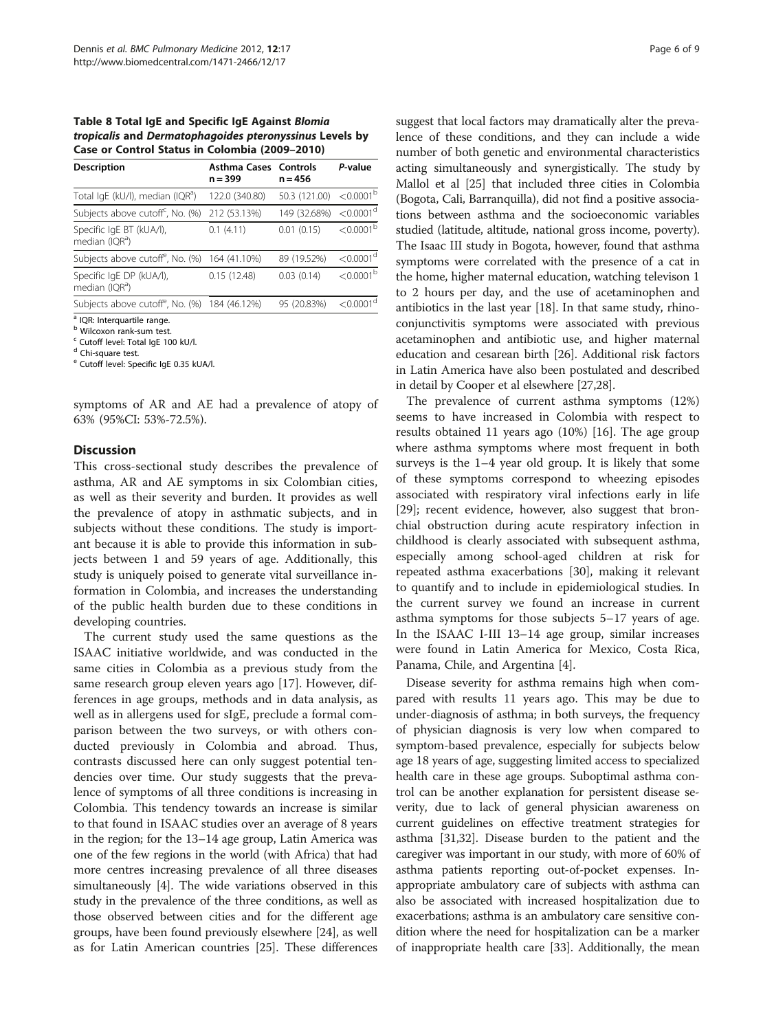<span id="page-5-0"></span>Table 8 Total IgE and Specific IgE Against Blomia tropicalis and Dermatophagoides pteronyssinus Levels by Case or Control Status in Colombia (2009–2010)

| <b>Description</b>                                        | Asthma Cases Controls<br>$n = 399$ | $n = 456$                                | P-value                 |
|-----------------------------------------------------------|------------------------------------|------------------------------------------|-------------------------|
| Total IgE (kU/I), median (IQR <sup>a</sup> )              | 122.0 (340.80)                     | 50.3 (121.00) $\leq 0.0001^{\mathrm{b}}$ |                         |
| Subjects above cutoff <sup>c</sup> , No. (%)              | 212 (53.13%)                       | 149 (32.68%)                             | $< 0.0001$ <sup>d</sup> |
| Specific IgE BT (kUA/l),<br>median (IQR <sup>a</sup> )    | 0.1(4.11)                          | 0.01(0.15)                               | $< 0.0001^{\rm b}$      |
| Subjects above cutoff <sup>e</sup> , No. (%) 164 (41.10%) |                                    | 89 (19.52%)                              | $< 0.0001$ <sup>d</sup> |
| Specific IgE DP (kUA/I),<br>median (IQR <sup>a</sup> )    | 0.15(12.48)                        | 0.03(0.14)                               | $< 0.0001^{\rm b}$      |
| Subjects above cutoff <sup>e</sup> , No. (%) 184 (46.12%) |                                    | 95 (20.83%)                              | < 0.0001 <sup>a</sup>   |
| <sup>a</sup> IQR: Interguartile range.                    |                                    |                                          |                         |

<sup>b</sup> Wilcoxon rank-sum test. <sup>c</sup> Cutoff level: Total IgE 100 kU/l.

<sup>d</sup> Chi-square test.

<sup>e</sup> Cutoff level: Specific IgE 0.35 kUA/l.

symptoms of AR and AE had a prevalence of atopy of 63% (95%CI: 53%-72.5%).

#### **Discussion**

This cross-sectional study describes the prevalence of asthma, AR and AE symptoms in six Colombian cities, as well as their severity and burden. It provides as well the prevalence of atopy in asthmatic subjects, and in subjects without these conditions. The study is important because it is able to provide this information in subjects between 1 and 59 years of age. Additionally, this study is uniquely poised to generate vital surveillance information in Colombia, and increases the understanding of the public health burden due to these conditions in developing countries.

The current study used the same questions as the ISAAC initiative worldwide, and was conducted in the same cities in Colombia as a previous study from the same research group eleven years ago [\[17](#page-7-0)]. However, differences in age groups, methods and in data analysis, as well as in allergens used for sIgE, preclude a formal comparison between the two surveys, or with others conducted previously in Colombia and abroad. Thus, contrasts discussed here can only suggest potential tendencies over time. Our study suggests that the prevalence of symptoms of all three conditions is increasing in Colombia. This tendency towards an increase is similar to that found in ISAAC studies over an average of 8 years in the region; for the 13–14 age group, Latin America was one of the few regions in the world (with Africa) that had more centres increasing prevalence of all three diseases simultaneously [[4](#page-7-0)]. The wide variations observed in this study in the prevalence of the three conditions, as well as those observed between cities and for the different age groups, have been found previously elsewhere [\[24\]](#page-7-0), as well as for Latin American countries [[25](#page-7-0)]. These differences

suggest that local factors may dramatically alter the prevalence of these conditions, and they can include a wide number of both genetic and environmental characteristics acting simultaneously and synergistically. The study by Mallol et al [\[25\]](#page-7-0) that included three cities in Colombia (Bogota, Cali, Barranquilla), did not find a positive associations between asthma and the socioeconomic variables studied (latitude, altitude, national gross income, poverty). The Isaac III study in Bogota, however, found that asthma symptoms were correlated with the presence of a cat in the home, higher maternal education, watching televison 1 to 2 hours per day, and the use of acetaminophen and antibiotics in the last year [\[18\]](#page-7-0). In that same study, rhinoconjunctivitis symptoms were associated with previous acetaminophen and antibiotic use, and higher maternal education and cesarean birth [[26](#page-7-0)]. Additional risk factors in Latin America have also been postulated and described in detail by Cooper et al elsewhere [\[27,28](#page-7-0)].

The prevalence of current asthma symptoms (12%) seems to have increased in Colombia with respect to results obtained 11 years ago (10%) [\[16\]](#page-7-0). The age group where asthma symptoms where most frequent in both surveys is the 1–4 year old group. It is likely that some of these symptoms correspond to wheezing episodes associated with respiratory viral infections early in life [[29\]](#page-7-0); recent evidence, however, also suggest that bronchial obstruction during acute respiratory infection in childhood is clearly associated with subsequent asthma, especially among school-aged children at risk for repeated asthma exacerbations [\[30](#page-7-0)], making it relevant to quantify and to include in epidemiological studies. In the current survey we found an increase in current asthma symptoms for those subjects 5–17 years of age. In the ISAAC I-III 13–14 age group, similar increases were found in Latin America for Mexico, Costa Rica, Panama, Chile, and Argentina [[4\]](#page-7-0).

Disease severity for asthma remains high when compared with results 11 years ago. This may be due to under-diagnosis of asthma; in both surveys, the frequency of physician diagnosis is very low when compared to symptom-based prevalence, especially for subjects below age 18 years of age, suggesting limited access to specialized health care in these age groups. Suboptimal asthma control can be another explanation for persistent disease severity, due to lack of general physician awareness on current guidelines on effective treatment strategies for asthma [[31,32\]](#page-7-0). Disease burden to the patient and the caregiver was important in our study, with more of 60% of asthma patients reporting out-of-pocket expenses. Inappropriate ambulatory care of subjects with asthma can also be associated with increased hospitalization due to exacerbations; asthma is an ambulatory care sensitive condition where the need for hospitalization can be a marker of inappropriate health care [\[33\]](#page-7-0). Additionally, the mean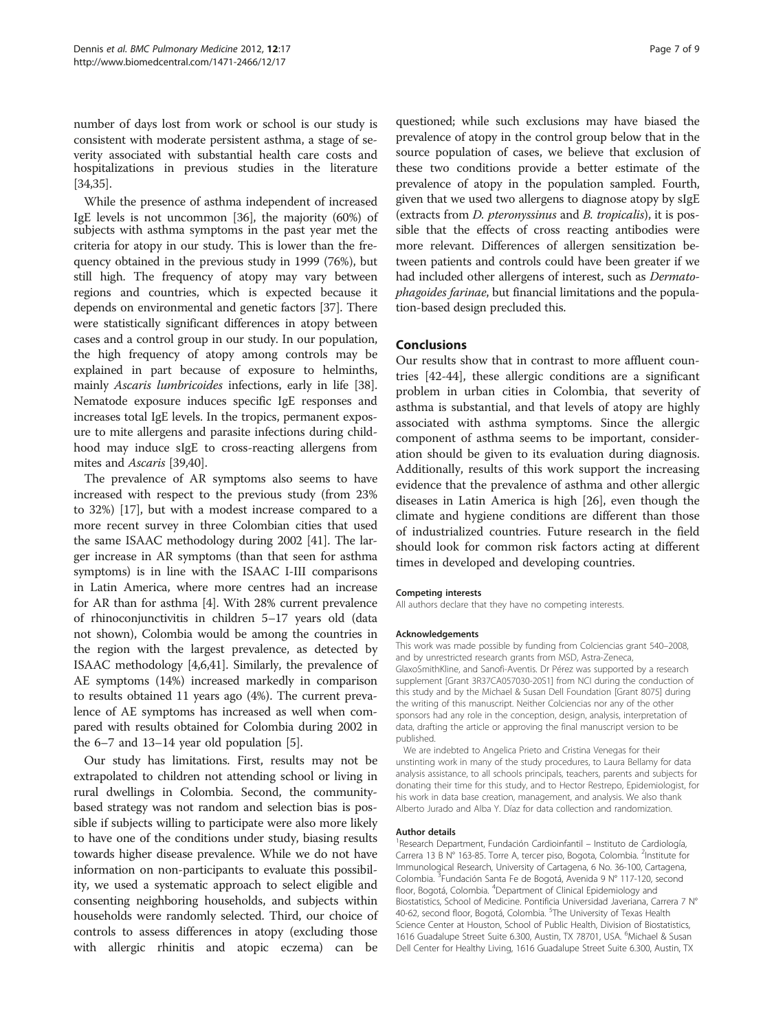number of days lost from work or school is our study is consistent with moderate persistent asthma, a stage of severity associated with substantial health care costs and hospitalizations in previous studies in the literature [[34,35\]](#page-7-0).

While the presence of asthma independent of increased IgE levels is not uncommon [\[36\]](#page-7-0), the majority (60%) of subjects with asthma symptoms in the past year met the criteria for atopy in our study. This is lower than the frequency obtained in the previous study in 1999 (76%), but still high. The frequency of atopy may vary between regions and countries, which is expected because it depends on environmental and genetic factors [\[37\]](#page-7-0). There were statistically significant differences in atopy between cases and a control group in our study. In our population, the high frequency of atopy among controls may be explained in part because of exposure to helminths, mainly Ascaris lumbricoides infections, early in life [[38](#page-7-0)]. Nematode exposure induces specific IgE responses and increases total IgE levels. In the tropics, permanent exposure to mite allergens and parasite infections during childhood may induce sIgE to cross-reacting allergens from mites and Ascaris [\[39,40](#page-8-0)].

The prevalence of AR symptoms also seems to have increased with respect to the previous study (from 23% to 32%) [\[17\]](#page-7-0), but with a modest increase compared to a more recent survey in three Colombian cities that used the same ISAAC methodology during 2002 [\[41\]](#page-8-0). The larger increase in AR symptoms (than that seen for asthma symptoms) is in line with the ISAAC I-III comparisons in Latin America, where more centres had an increase for AR than for asthma [[4](#page-7-0)]. With 28% current prevalence of rhinoconjunctivitis in children 5–17 years old (data not shown), Colombia would be among the countries in the region with the largest prevalence, as detected by ISAAC methodology [\[4,6](#page-7-0)[,41\]](#page-8-0). Similarly, the prevalence of AE symptoms (14%) increased markedly in comparison to results obtained 11 years ago (4%). The current prevalence of AE symptoms has increased as well when compared with results obtained for Colombia during 2002 in the 6–7 and 13–14 year old population [\[5](#page-7-0)].

Our study has limitations. First, results may not be extrapolated to children not attending school or living in rural dwellings in Colombia. Second, the communitybased strategy was not random and selection bias is possible if subjects willing to participate were also more likely to have one of the conditions under study, biasing results towards higher disease prevalence. While we do not have information on non-participants to evaluate this possibility, we used a systematic approach to select eligible and consenting neighboring households, and subjects within households were randomly selected. Third, our choice of controls to assess differences in atopy (excluding those with allergic rhinitis and atopic eczema) can be

questioned; while such exclusions may have biased the prevalence of atopy in the control group below that in the source population of cases, we believe that exclusion of these two conditions provide a better estimate of the prevalence of atopy in the population sampled. Fourth, given that we used two allergens to diagnose atopy by sIgE (extracts from D. pteronyssinus and B. tropicalis), it is possible that the effects of cross reacting antibodies were more relevant. Differences of allergen sensitization between patients and controls could have been greater if we had included other allergens of interest, such as *Dermato*phagoides farinae, but financial limitations and the population-based design precluded this.

# Conclusions

Our results show that in contrast to more affluent countries [\[42-44](#page-8-0)], these allergic conditions are a significant problem in urban cities in Colombia, that severity of asthma is substantial, and that levels of atopy are highly associated with asthma symptoms. Since the allergic component of asthma seems to be important, consideration should be given to its evaluation during diagnosis. Additionally, results of this work support the increasing evidence that the prevalence of asthma and other allergic diseases in Latin America is high [\[26](#page-7-0)], even though the climate and hygiene conditions are different than those of industrialized countries. Future research in the field should look for common risk factors acting at different times in developed and developing countries.

#### Competing interests

All authors declare that they have no competing interests.

#### Acknowledgements

This work was made possible by funding from Colciencias grant 540–2008, and by unrestricted research grants from MSD, Astra-Zeneca, GlaxoSmithKline, and Sanofi-Aventis. Dr Pérez was supported by a research supplement [Grant 3R37CA057030-20S1] from NCI during the conduction of this study and by the Michael & Susan Dell Foundation [Grant 8075] during the writing of this manuscript. Neither Colciencias nor any of the other sponsors had any role in the conception, design, analysis, interpretation of data, drafting the article or approving the final manuscript version to be published.

We are indebted to Angelica Prieto and Cristina Venegas for their unstinting work in many of the study procedures, to Laura Bellamy for data analysis assistance, to all schools principals, teachers, parents and subjects for donating their time for this study, and to Hector Restrepo, Epidemiologist, for his work in data base creation, management, and analysis. We also thank Alberto Jurado and Alba Y. Díaz for data collection and randomization.

#### Author details

<sup>1</sup> Research Department, Fundación Cardioinfantil - Instituto de Cardiología Carrera 13 B Nº 163-85. Torre A, tercer piso, Bogota, Colombia. <sup>2</sup>Institute for Immunological Research, University of Cartagena, 6 No. 36-100, Cartagena, Colombia.<sup>3</sup> Fundación Santa Fe de Bogotá, Avenida 9 Nº 117-120, second floor, Bogotá, Colombia. <sup>4</sup>Department of Clinical Epidemiology and Biostatistics, School of Medicine. Pontificia Universidad Javeriana, Carrera 7 N° 40-62, second floor, Bogotá, Colombia. <sup>5</sup>The University of Texas Health Science Center at Houston, School of Public Health, Division of Biostatistics, 1616 Guadalupe Street Suite 6.300, Austin, TX 78701, USA. <sup>6</sup>Michael & Susan Dell Center for Healthy Living, 1616 Guadalupe Street Suite 6.300, Austin, TX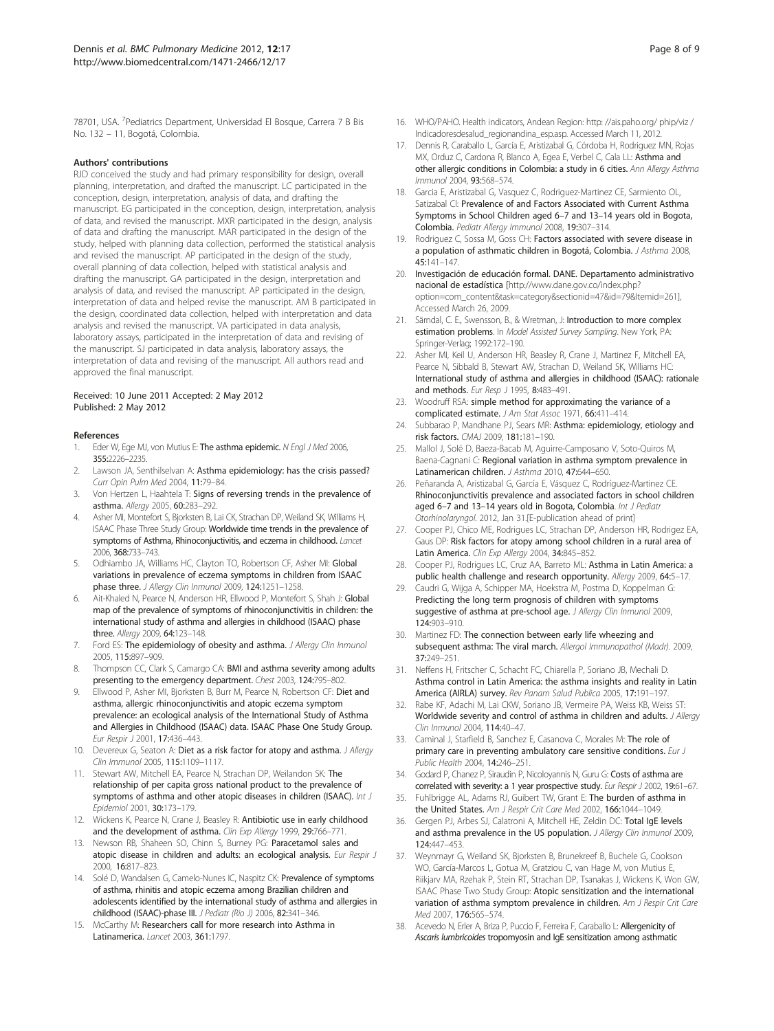<span id="page-7-0"></span>78701, USA. <sup>7</sup> Pediatrics Department, Universidad El Bosque, Carrera 7 B Bis No. 132 – 11, Bogotá, Colombia.

#### Authors' contributions

RJD conceived the study and had primary responsibility for design, overall planning, interpretation, and drafted the manuscript. LC participated in the conception, design, interpretation, analysis of data, and drafting the manuscript. EG participated in the conception, design, interpretation, analysis of data, and revised the manuscript. MXR participated in the design, analysis of data and drafting the manuscript. MAR participated in the design of the study, helped with planning data collection, performed the statistical analysis and revised the manuscript. AP participated in the design of the study, overall planning of data collection, helped with statistical analysis and drafting the manuscript. GA participated in the design, interpretation and analysis of data, and revised the manuscript. AP participated in the design, interpretation of data and helped revise the manuscript. AM B participated in the design, coordinated data collection, helped with interpretation and data analysis and revised the manuscript. VA participated in data analysis, laboratory assays, participated in the interpretation of data and revising of the manuscript. SJ participated in data analysis, laboratory assays, the interpretation of data and revising of the manuscript. All authors read and approved the final manuscript.

#### Received: 10 June 2011 Accepted: 2 May 2012 Published: 2 May 2012

#### References

- 1. Eder W, Ege MJ, von Mutius E: The asthma epidemic. N Engl J Med 2006. 355:2226–2235.
- Lawson JA, Senthilselvan A: Asthma epidemiology: has the crisis passed? Curr Opin Pulm Med 2004, 11:79–84.
- 3. Von Hertzen L, Haahtela T: Signs of reversing trends in the prevalence of asthma. Allergy 2005, 60:283–292.
- 4. Asher MI, Montefort S, Bjorksten B, Lai CK, Strachan DP, Weiland SK, Williams H, ISAAC Phase Three Study Group: Worldwide time trends in the prevalence of symptoms of Asthma, Rhinoconjuctivitis, and eczema in childhood. Lancet 2006, 368:733–743.
- Odhiambo JA, Williams HC, Clayton TO, Robertson CF, Asher MI: Global variations in prevalence of eczema symptoms in children from ISAAC phase three. J Allergy Clin Inmunol 2009, 124:1251-1258.
- Ait-Khaled N, Pearce N, Anderson HR, Ellwood P, Montefort S, Shah J: Global map of the prevalence of symptoms of rhinoconjunctivitis in children: the international study of asthma and allergies in childhood (ISAAC) phase three. Allergy 2009, 64:123-148.
- 7. Ford ES: The epidemiology of obesity and asthma. J Allergy Clin Inmunol 2005, 115:897–909.
- 8. Thompson CC, Clark S, Camargo CA: BMI and asthma severity among adults presenting to the emergency department. Chest 2003, 124:795–802.
- Ellwood P, Asher MI, Bjorksten B, Burr M, Pearce N, Robertson CF: Diet and asthma, allergic rhinoconjunctivitis and atopic eczema symptom prevalence: an ecological analysis of the International Study of Asthma and Allergies in Childhood (ISAAC) data. ISAAC Phase One Study Group. Eur Respir J 2001, 17:436–443.
- 10. Devereux G, Seaton A: Diet as a risk factor for atopy and asthma. J Allergy Clin Immunol 2005, 115:1109–1117.
- 11. Stewart AW, Mitchell EA, Pearce N, Strachan DP, Weilandon SK: The relationship of per capita gross national product to the prevalence of symptoms of asthma and other atopic diseases in children (ISAAC). Int J Epidemiol 2001, 30:173–179.
- 12. Wickens K, Pearce N, Crane J, Beasley R: Antibiotic use in early childhood and the development of asthma. Clin Exp Allergy 1999, 29:766-771.
- 13. Newson RB, Shaheen SO, Chinn S, Burney PG: Paracetamol sales and atopic disease in children and adults: an ecological analysis. Eur Respir J 2000, 16:817–823.
- 14. Solé D, Wandalsen G, Camelo-Nunes IC, Naspitz CK: Prevalence of symptoms of asthma, rhinitis and atopic eczema among Brazilian children and adolescents identified by the international study of asthma and allergies in childhood (ISAAC)-phase III. J Pediatr (Rio J) 2006, 82:341–346.
- 15. McCarthy M: Researchers call for more research into Asthma in Latinamerica. Lancet 2003, 361:1797.
- 16. WHO/PAHO. Health indicators, Andean Region: [http: //ais.paho.org/ phip/viz /](http: //ais.paho.org/ phip/viz /Indicadoresdesalud_regionandina_esp.asp) [Indicadoresdesalud\\_regionandina\\_esp.asp.](http: //ais.paho.org/ phip/viz /Indicadoresdesalud_regionandina_esp.asp) Accessed March 11, 2012.
- 17. Dennis R, Caraballo L, García E, Aristizabal G, Córdoba H, Rodriguez MN, Rojas MX, Orduz C, Cardona R, Blanco A, Egea E, Verbel C, Cala LL: Asthma and other allergic conditions in Colombia: a study in 6 cities. Ann Allergy Asthma Immunol 2004, 93:568–574.
- 18. Garcia E, Aristizabal G, Vasquez C, Rodriguez-Martinez CE, Sarmiento OL, Satizabal Cl: Prevalence of and Factors Associated with Current Asthma Symptoms in School Children aged 6–7 and 13–14 years old in Bogota, Colombia. Pediatr Allergy Immunol 2008, 19:307–314.
- 19. Rodriguez C, Sossa M, Goss CH: Factors associated with severe disease in a population of asthmatic children in Bogotá, Colombia. J Asthma 2008, 45:141–147.
- 20. Investigación de educación formal. DANE. Departamento administrativo nacional de estadística [[http://www.dane.gov.co/index.php?](http://www.dane.gov.co/index.php?option=com_content&task=category§ionid=47&id=79&Itemid=261) [option=com\\_content&task=category&sectionid=47&id=79&Itemid=261\]](http://www.dane.gov.co/index.php?option=com_content&task=category§ionid=47&id=79&Itemid=261), Accessed March 26, 2009.
- 21. Särndal, C. E., Swensson, B., & Wretman, J: Introduction to more complex estimation problems. In Model Assisted Survey Sampling. New York, PA: Springer-Verlag; 1992:172–190.
- 22. Asher MI, Keil U, Anderson HR, Beasley R, Crane J, Martinez F, Mitchell EA, Pearce N, Sibbald B, Stewart AW, Strachan D, Weiland SK, Williams HC: International study of asthma and allergies in childhood (ISAAC): rationale and methods. Eur Resp J 1995, 8:483-491.
- 23. Woodruff RSA: simple method for approximating the variance of a complicated estimate. J Am Stat Assoc 1971, 66:411–414.
- 24. Subbarao P, Mandhane PJ, Sears MR: Asthma: epidemiology, etiology and risk factors. CMAJ 2009, 181:181–190.
- 25. Mallol J, Solé D, Baeza-Bacab M, Aguirre-Camposano V, Soto-Quiros M, Baena-Cagnani C: Regional variation in asthma symptom prevalence in Latinamerican children. J Asthma 2010, 47:644–650.
- 26. Peñaranda A, Aristizabal G, García E, Vásquez C, Rodríguez-Martinez CE. Rhinoconjunctivitis prevalence and associated factors in school children aged 6-7 and 13-14 years old in Bogota, Colombia. Int J Pediatr Otorhinolaryngol. 2012, Jan 31.[E-publication ahead of print]
- 27. Cooper PJ, Chico ME, Rodrigues LC, Strachan DP, Anderson HR, Rodrigez EA, Gaus DP: Risk factors for atopy among school children in a rural area of Latin America. Clin Exp Allergy 2004, 34:845-852.
- 28. Cooper PJ, Rodrigues LC, Cruz AA, Barreto ML: Asthma in Latin America: a public health challenge and research opportunity. Allergy 2009, 64:5-17.
- 29. Caudri G, Wijga A, Schipper MA, Hoekstra M, Postma D, Koppelman G: Predicting the long term prognosis of children with symptoms suggestive of asthma at pre-school age. J Allergy Clin Inmunol 2009, 124:903–910.
- 30. Martinez FD: The connection between early life wheezing and subsequent asthma: The viral march. Allergol Immunopathol (Madr). 2009,  $37.249 - 251$
- 31. Neffens H, Fritscher C, Schacht FC, Chiarella P, Soriano JB, Mechali D: Asthma control in Latin America: the asthma insights and reality in Latin America (AIRLA) survey. Rev Panam Salud Publica 2005, 17:191–197.
- 32. Rabe KF, Adachi M, Lai CKW, Soriano JB, Vermeire PA, Weiss KB, Weiss ST: Worldwide severity and control of asthma in children and adults. J Allergy Clin Inmunol 2004, 114:40–47.
- 33. Caminal J, Starfield B, Sanchez E, Casanova C, Morales M: The role of primary care in preventing ambulatory care sensitive conditions. Eur J Public Health 2004, 14:246–251.
- 34. Godard P, Chanez P, Siraudin P, Nicoloyannis N, Guru G: Costs of asthma are correlated with severity: a 1 year prospective study. Eur Respir J 2002, 19:61-67.
- 35. Fuhlbrigge AL, Adams RJ, Guibert TW, Grant E: The burden of asthma in the United States. Am J Respir Crit Care Med 2002, 166:1044-1049.
- Gergen PJ, Arbes SJ, Calatroni A, Mitchell HE, Zeldin DC: Total IgE levels and asthma prevalence in the US population. J Allergy Clin Inmunol 2009, 124:447–453.
- 37. Weynmayr G, Weiland SK, Bjorksten B, Brunekreef B, Buchele G, Cookson WO, García-Marcos L, Gotua M, Gratziou C, van Hage M, von Mutius E, Riikjarv MA, Rzehak P, Stein RT, Strachan DP, Tsanakas J, Wickens K, Won GW, ISAAC Phase Two Study Group: Atopic sensitization and the international variation of asthma symptom prevalence in children. Am J Respir Crit Care Med 2007, 176:565–574.
- 38. Acevedo N, Erler A, Briza P, Puccio F, Ferreira F, Caraballo L: Allergenicity of Ascaris lumbricoides tropomyosin and IgE sensitization among asthmatic